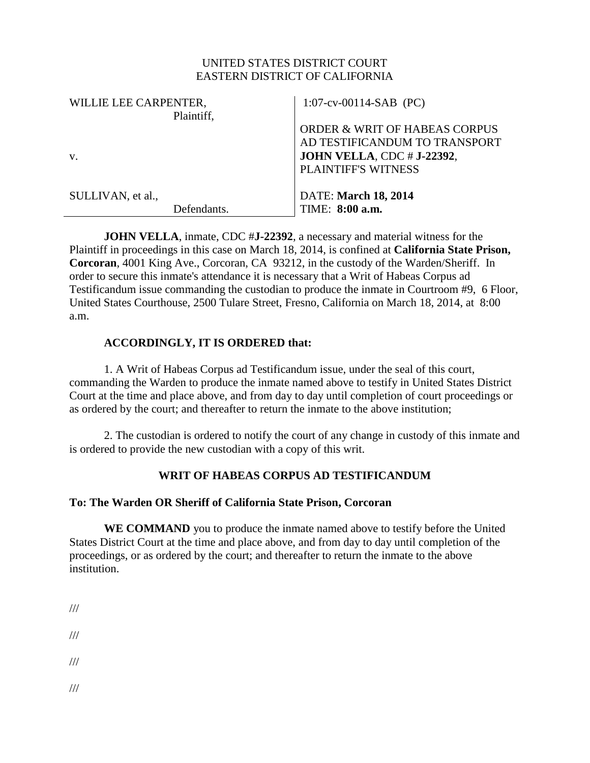## UNITED STATES DISTRICT COURT EASTERN DISTRICT OF CALIFORNIA

| WILLIE LEE CARPENTER, | $1:07$ -cv-00114-SAB (PC)                |
|-----------------------|------------------------------------------|
| Plaintiff,            |                                          |
|                       | <b>ORDER &amp; WRIT OF HABEAS CORPUS</b> |
|                       | AD TESTIFICANDUM TO TRANSPORT            |
| V.                    | <b>JOHN VELLA, CDC # J-22392,</b>        |
|                       | <b>PLAINTIFF'S WITNESS</b>               |
| SULLIVAN, et al.,     | <b>DATE: March 18, 2014</b>              |
|                       |                                          |
| Defendants.           | TIME: 8:00 a.m.                          |

**JOHN VELLA**, inmate, CDC #**J-22392**, a necessary and material witness for the Plaintiff in proceedings in this case on March 18, 2014, is confined at **California State Prison, Corcoran**, 4001 King Ave., Corcoran, CA 93212, in the custody of the Warden/Sheriff. In order to secure this inmate's attendance it is necessary that a Writ of Habeas Corpus ad Testificandum issue commanding the custodian to produce the inmate in Courtroom #9, 6 Floor, United States Courthouse, 2500 Tulare Street, Fresno, California on March 18, 2014, at 8:00 a.m.

## **ACCORDINGLY, IT IS ORDERED that:**

1. A Writ of Habeas Corpus ad Testificandum issue, under the seal of this court, commanding the Warden to produce the inmate named above to testify in United States District Court at the time and place above, and from day to day until completion of court proceedings or as ordered by the court; and thereafter to return the inmate to the above institution;

2. The custodian is ordered to notify the court of any change in custody of this inmate and is ordered to provide the new custodian with a copy of this writ.

## **WRIT OF HABEAS CORPUS AD TESTIFICANDUM**

## **To: The Warden OR Sheriff of California State Prison, Corcoran**

**WE COMMAND** you to produce the inmate named above to testify before the United States District Court at the time and place above, and from day to day until completion of the proceedings, or as ordered by the court; and thereafter to return the inmate to the above institution.

- ///
- ///

///

///